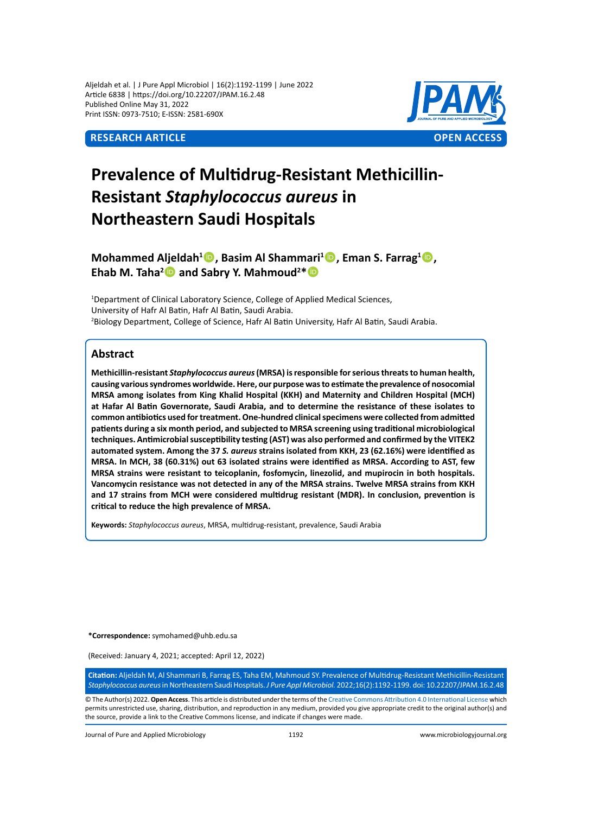Aljeldah et al. | J Pure Appl Microbiol | 16(2):1192-1199 | June 2022 Article 6838 | https://doi.org/10.22207/JPAM.16.2.48 Published Online May 31, 2022 Print ISSN: 0973-7510; E-ISSN: 2581-690X



# **Prevalence of Multidrug-Resistant Methicillin-Resistant** *Staphylococcus aureus* **in Northeastern Saudi Hospitals**

**Mohammed Aljeldah<sup>1</sup>D, Basim Al Shammari<sup>1</sup>D, Eman S. Farrag<sup>1</sup>D,** Ehab M. Taha<sup>2</sup> and Sabry Y. Mahmoud<sup>2\*</sup>

<sup>1</sup>Department of Clinical Laboratory Science, College of Applied Medical Sciences, University of Hafr Al Batin, Hafr Al Batin, Saudi Arabia. 2 Biology Department, College of Science, Hafr Al Batin University, Hafr Al Batin, Saudi Arabia.

## **Abstract**

**Methicillin-resistant** *Staphylococcus aureus* **(MRSA) is responsible for serious threats to human health, causing various syndromes worldwide. Here, our purpose was to estimate the prevalence of nosocomial MRSA among isolates from King Khalid Hospital (KKH) and Maternity and Children Hospital (MCH) at Hafar Al Batin Governorate, Saudi Arabia, and to determine the resistance of these isolates to common antibiotics used for treatment. One-hundred clinical specimens were collected from admitted patients during a six month period, and subjected to MRSA screening using traditional microbiological techniques. Antimicrobial susceptibility testing (AST) was also performed and confirmed by the VITEK2 automated system. Among the 37** *S. aureus* **strains isolated from KKH, 23 (62.16%) were identified as MRSA. In MCH, 38 (60.31%) out 63 isolated strains were identified as MRSA. According to AST, few MRSA strains were resistant to teicoplanin, fosfomycin, linezolid, and mupirocin in both hospitals. Vancomycin resistance was not detected in any of the MRSA strains. Twelve MRSA strains from KKH and 17 strains from MCH were considered multidrug resistant (MDR). In conclusion, prevention is critical to reduce the high prevalence of MRSA.**

**Keywords:** *Staphylococcus aureus*, MRSA, multidrug-resistant, prevalence, Saudi Arabia

**\*Correspondence:** symohamed@uhb.edu.sa

(Received: January 4, 2021; accepted: April 12, 2022)

**Citation:** Aljeldah M, Al Shammari B, Farrag ES, Taha EM, Mahmoud SY. Prevalence of Multidrug-Resistant Methicillin-Resistant *Staphylococcus aureus* in Northeastern Saudi Hospitals. *J Pure Appl Microbiol.* 2022;16(2):1192-1199. doi: 10.22207/JPAM.16.2.48

© The Author(s) 2022. **Open Access**. This article is distributed under the terms of the [Creative Commons Attribution 4.0 International License](https://creativecommons.org/licenses/by/4.0/) which permits unrestricted use, sharing, distribution, and reproduction in any medium, provided you give appropriate credit to the original author(s) and the source, provide a link to the Creative Commons license, and indicate if changes were made.

Journal of Pure and Applied Microbiology 1192 www.microbiologyjournal.org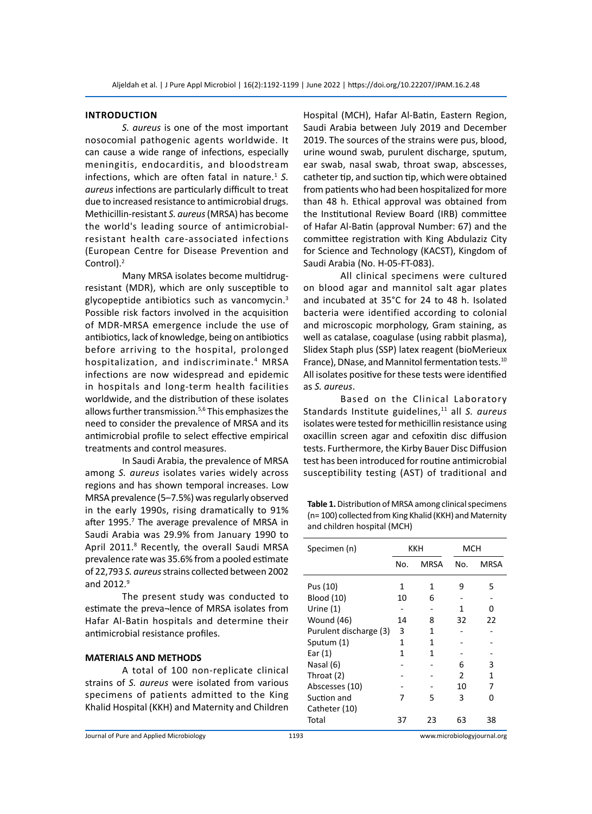#### **Introduction**

*S. aureus* is one of the most important nosocomial pathogenic agents worldwide. It can cause a wide range of infections, especially meningitis, endocarditis, and bloodstream infections, which are often fatal in nature.<sup>1</sup> S. *aureus* infections are particularly difficult to treat due to increased resistance to antimicrobial drugs. Methicillin-resistant *S. aureus* (MRSA) has become the world's leading source of antimicrobialresistant health care-associated infections (European Centre for Disease Prevention and Control).2

Many MRSA isolates become multidrugresistant (MDR), which are only susceptible to glycopeptide antibiotics such as vancomycin.<sup>3</sup> Possible risk factors involved in the acquisition of MDR-MRSA emergence include the use of antibiotics, lack of knowledge, being on antibiotics before arriving to the hospital, prolonged hospitalization, and indiscriminate.<sup>4</sup> MRSA infections are now widespread and epidemic in hospitals and long-term health facilities worldwide, and the distribution of these isolates allows further transmission.<sup>5,6</sup> This emphasizes the need to consider the prevalence of MRSA and its antimicrobial profile to select effective empirical treatments and control measures.

In Saudi Arabia, the prevalence of MRSA among *S. aureus* isolates varies widely across regions and has shown temporal increases. Low MRSA prevalence (5–7.5%) was regularly observed in the early 1990s, rising dramatically to 91% after 1995.<sup>7</sup> The average prevalence of MRSA in Saudi Arabia was 29.9% from January 1990 to April 2011.<sup>8</sup> Recently, the overall Saudi MRSA prevalence rate was 35.6% from a pooled estimate of 22,793 *S. aureus* strains collected between 2002 and  $2012.<sup>9</sup>$ 

The present study was conducted to estimate the preva¬lence of MRSA isolates from Hafar Al-Batin hospitals and determine their antimicrobial resistance profiles.

#### **MATERIALS AND METHODS**

A total of 100 non-replicate clinical strains of *S. aureus* were isolated from various specimens of patients admitted to the King Khalid Hospital (KKH) and Maternity and Children

Hospital (MCH), Hafar Al-Batin, Eastern Region, Saudi Arabia between July 2019 and December 2019. The sources of the strains were pus, blood, urine wound swab, purulent discharge, sputum, ear swab, nasal swab, throat swap, abscesses, catheter tip, and suction tip, which were obtained from patients who had been hospitalized for more than 48 h. Ethical approval was obtained from the Institutional Review Board (IRB) committee of Hafar Al-Batin (approval Number: 67) and the committee registration with King Abdulaziz City for Science and Technology (KACST), Kingdom of Saudi Arabia (No. H-05-FT-083).

All clinical specimens were cultured on blood agar and mannitol salt agar plates and incubated at 35°C for 24 to 48 h. Isolated bacteria were identified according to colonial and microscopic morphology, Gram staining, as well as catalase, coagulase (using rabbit plasma), Slidex Staph plus (SSP) latex reagent (bioMerieux France), DNase, and Mannitol fermentation tests.<sup>10</sup> All isolates positive for these tests were identified as *S. aureus*.

Based on the Clinical Laboratory Standards Institute guidelines,<sup>11</sup> all *S. aureus* isolates were tested for methicillin resistance using oxacillin screen agar and cefoxitin disc diffusion tests. Furthermore, the Kirby Bauer Disc Diffusion test has been introduced for routine antimicrobial susceptibility testing (AST) of traditional and

**Table 1.** Distribution of MRSA among clinical specimens (n= 100) collected from King Khalid (KKH) and Maternity and children hospital (MCH)

| Specimen (n)           | KKH |             | мсн            |      |
|------------------------|-----|-------------|----------------|------|
|                        | No. | <b>MRSA</b> | No.            | MRSA |
| Pus (10)               | 1   | 1           | 9              | 5    |
| <b>Blood</b> (10)      | 10  | 6           |                |      |
| Urine $(1)$            |     |             | 1              | n    |
| Wound (46)             | 14  | 8           | 32             | 22   |
| Purulent discharge (3) | 3   | 1           |                |      |
| Sputum (1)             | 1   | 1           |                |      |
| Ear $(1)$              | 1   | 1           |                |      |
| Nasal (6)              |     |             | 6              | 3    |
| Throat (2)             |     |             | $\mathfrak{p}$ | 1    |
| Abscesses (10)         |     |             | 10             | 7    |
| Suction and            | 7   | 5           | 3              | n    |
| Catheter (10)          |     |             |                |      |
| Total                  | 37  | 23          | 63             | 38   |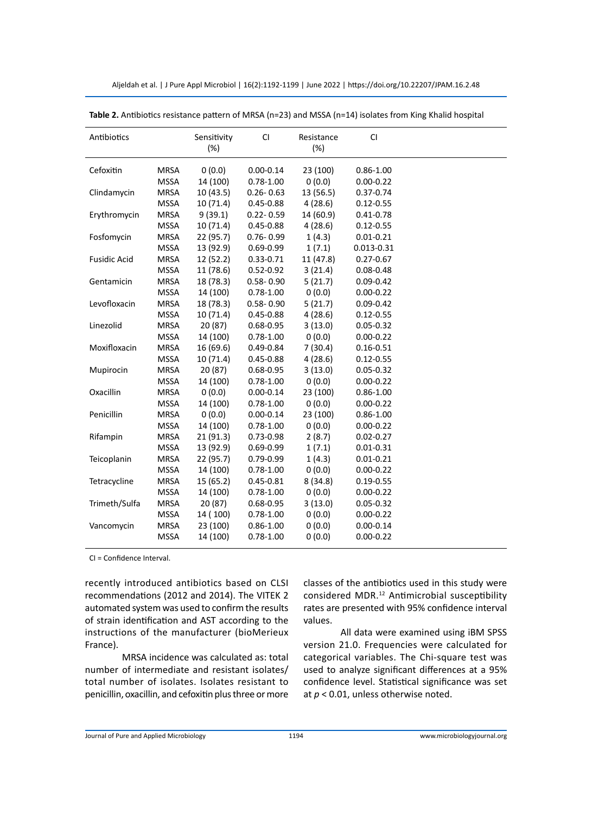|  | Aljeldah et al.   J Pure Appl Microbiol   16(2):1192-1199   June 2022   https://doi.org/10.22207/JPAM.16.2.48 |
|--|---------------------------------------------------------------------------------------------------------------|
|--|---------------------------------------------------------------------------------------------------------------|

| Antibiotics         |             | Sensitivity<br>(%) | CI            | Resistance<br>(%) | <b>CI</b>     |  |
|---------------------|-------------|--------------------|---------------|-------------------|---------------|--|
| Cefoxitin           | <b>MRSA</b> | 0(0.0)             | $0.00 - 0.14$ | 23 (100)          | $0.86 - 1.00$ |  |
|                     | <b>MSSA</b> | 14 (100)           | $0.78 - 1.00$ | 0(0.0)            | $0.00 - 0.22$ |  |
| Clindamycin         | <b>MRSA</b> | 10 (43.5)          | $0.26 - 0.63$ | 13 (56.5)         | 0.37-0.74     |  |
|                     | <b>MSSA</b> | 10 (71.4)          | $0.45 - 0.88$ | 4(28.6)           | $0.12 - 0.55$ |  |
| Erythromycin        | <b>MRSA</b> | 9(39.1)            | $0.22 - 0.59$ | 14 (60.9)         | $0.41 - 0.78$ |  |
|                     | <b>MSSA</b> | 10(71.4)           | $0.45 - 0.88$ | 4(28.6)           | $0.12 - 0.55$ |  |
| Fosfomycin          | <b>MRSA</b> | 22 (95.7)          | $0.76 - 0.99$ | 1(4.3)            | $0.01 - 0.21$ |  |
|                     | <b>MSSA</b> | 13 (92.9)          | $0.69 - 0.99$ | 1(7.1)            | 0.013-0.31    |  |
| <b>Fusidic Acid</b> | <b>MRSA</b> | 12 (52.2)          | 0.33-0.71     | 11 (47.8)         | $0.27 - 0.67$ |  |
|                     | <b>MSSA</b> | 11 (78.6)          | $0.52 - 0.92$ | 3(21.4)           | $0.08 - 0.48$ |  |
| Gentamicin          | <b>MRSA</b> | 18 (78.3)          | $0.58 - 0.90$ | 5(21.7)           | $0.09 - 0.42$ |  |
|                     | <b>MSSA</b> | 14 (100)           | $0.78 - 1.00$ | 0(0.0)            | $0.00 - 0.22$ |  |
| Levofloxacin        | <b>MRSA</b> | 18 (78.3)          | $0.58 - 0.90$ | 5(21.7)           | $0.09 - 0.42$ |  |
|                     | <b>MSSA</b> | 10 (71.4)          | $0.45 - 0.88$ | 4(28.6)           | $0.12 - 0.55$ |  |
| Linezolid           | <b>MRSA</b> | 20 (87)            | $0.68 - 0.95$ | 3(13.0)           | $0.05 - 0.32$ |  |
|                     | <b>MSSA</b> | 14 (100)           | $0.78 - 1.00$ | 0(0.0)            | $0.00 - 0.22$ |  |
| Moxifloxacin        | <b>MRSA</b> | 16 (69.6)          | $0.49 - 0.84$ | 7(30.4)           | $0.16 - 0.51$ |  |
|                     | <b>MSSA</b> | 10 (71.4)          | $0.45 - 0.88$ | 4(28.6)           | $0.12 - 0.55$ |  |
| Mupirocin           | <b>MRSA</b> | 20 (87)            | $0.68 - 0.95$ | 3(13.0)           | $0.05 - 0.32$ |  |
|                     | <b>MSSA</b> | 14 (100)           | $0.78 - 1.00$ | 0(0.0)            | $0.00 - 0.22$ |  |
| Oxacillin           | <b>MRSA</b> | 0(0.0)             | $0.00 - 0.14$ | 23 (100)          | $0.86 - 1.00$ |  |
|                     | <b>MSSA</b> | 14 (100)           | $0.78 - 1.00$ | 0(0.0)            | $0.00 - 0.22$ |  |
| Penicillin          | <b>MRSA</b> | 0(0.0)             | $0.00 - 0.14$ | 23 (100)          | $0.86 - 1.00$ |  |
|                     | <b>MSSA</b> | 14 (100)           | $0.78 - 1.00$ | 0(0.0)            | $0.00 - 0.22$ |  |
| Rifampin            | <b>MRSA</b> | 21(91.3)           | $0.73 - 0.98$ | 2(8.7)            | $0.02 - 0.27$ |  |
|                     | <b>MSSA</b> | 13 (92.9)          | $0.69 - 0.99$ | 1(7.1)            | $0.01 - 0.31$ |  |
| Teicoplanin         | <b>MRSA</b> | 22 (95.7)          | $0.79 - 0.99$ | 1(4.3)            | $0.01 - 0.21$ |  |
|                     | <b>MSSA</b> | 14 (100)           | $0.78 - 1.00$ | 0(0.0)            | $0.00 - 0.22$ |  |
| Tetracycline        | <b>MRSA</b> | 15 (65.2)          | $0.45 - 0.81$ | 8(34.8)           | $0.19 - 0.55$ |  |
|                     | <b>MSSA</b> | 14 (100)           | $0.78 - 1.00$ | 0(0.0)            | $0.00 - 0.22$ |  |
| Trimeth/Sulfa       | <b>MRSA</b> | 20 (87)            | 0.68-0.95     | 3(13.0)           | $0.05 - 0.32$ |  |
|                     | <b>MSSA</b> | 14 (100)           | $0.78 - 1.00$ | 0(0.0)            | $0.00 - 0.22$ |  |
| Vancomycin          | <b>MRSA</b> | 23 (100)           | $0.86 - 1.00$ | 0(0.0)            | $0.00 - 0.14$ |  |
|                     | <b>MSSA</b> | 14 (100)           | $0.78 - 1.00$ | 0(0.0)            | $0.00 - 0.22$ |  |

**Table 2.** Antibiotics resistance pattern of MRSA (n=23) and MSSA (n=14) isolates from King Khalid hospital

CI = Confidence Interval.

recently introduced antibiotics based on CLSI recommendations (2012 and 2014). The VITEK 2 automated system was used to confirm the results of strain identification and AST according to the instructions of the manufacturer (bioMerieux France).

MRSA incidence was calculated as: total number of intermediate and resistant isolates/ total number of isolates. Isolates resistant to penicillin, oxacillin, and cefoxitin plus three or more classes of the antibiotics used in this study were considered MDR.12 Antimicrobial susceptibility rates are presented with 95% confidence interval values.

All data were examined using iBM SPSS version 21.0. Frequencies were calculated for categorical variables. The Chi-square test was used to analyze significant differences at a 95% confidence level. Statistical significance was set at *p* < 0.01, unless otherwise noted.

Journal of Pure and Applied Microbiology 1194 www.microbiologyjournal.org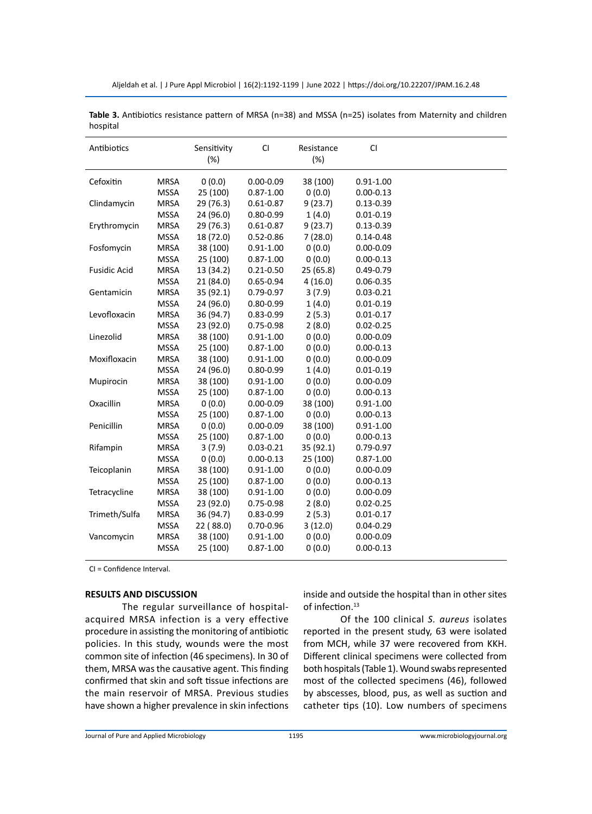| Antibiotics         |             | Sensitivity<br>(%) | <b>CI</b>     | Resistance<br>(%) | CI            |  |
|---------------------|-------------|--------------------|---------------|-------------------|---------------|--|
| Cefoxitin           | <b>MRSA</b> | 0(0.0)             | $0.00 - 0.09$ | 38 (100)          | $0.91 - 1.00$ |  |
|                     | <b>MSSA</b> | 25 (100)           | $0.87 - 1.00$ | 0(0.0)            | $0.00 - 0.13$ |  |
| Clindamycin         | <b>MRSA</b> | 29 (76.3)          | $0.61 - 0.87$ | 9(23.7)           | $0.13 - 0.39$ |  |
|                     | <b>MSSA</b> | 24 (96.0)          | $0.80 - 0.99$ | 1(4.0)            | $0.01 - 0.19$ |  |
| Erythromycin        | <b>MRSA</b> | 29 (76.3)          | $0.61 - 0.87$ | 9(23.7)           | $0.13 - 0.39$ |  |
|                     | <b>MSSA</b> | 18 (72.0)          | $0.52 - 0.86$ | 7(28.0)           | $0.14 - 0.48$ |  |
| Fosfomycin          | <b>MRSA</b> | 38 (100)           | $0.91 - 1.00$ | 0(0.0)            | $0.00 - 0.09$ |  |
|                     | <b>MSSA</b> | 25 (100)           | $0.87 - 1.00$ | 0(0.0)            | $0.00 - 0.13$ |  |
| <b>Fusidic Acid</b> | <b>MRSA</b> | 13 (34.2)          | $0.21 - 0.50$ | 25 (65.8)         | $0.49 - 0.79$ |  |
|                     | <b>MSSA</b> | 21 (84.0)          | $0.65 - 0.94$ | 4(16.0)           | $0.06 - 0.35$ |  |
| Gentamicin          | <b>MRSA</b> | 35 (92.1)          | $0.79 - 0.97$ | 3(7.9)            | $0.03 - 0.21$ |  |
|                     | <b>MSSA</b> | 24 (96.0)          | $0.80 - 0.99$ | 1(4.0)            | $0.01 - 0.19$ |  |
| Levofloxacin        | <b>MRSA</b> | 36 (94.7)          | $0.83 - 0.99$ | 2(5.3)            | $0.01 - 0.17$ |  |
|                     | <b>MSSA</b> | 23 (92.0)          | $0.75 - 0.98$ | 2(8.0)            | $0.02 - 0.25$ |  |
| Linezolid           | <b>MRSA</b> | 38 (100)           | $0.91 - 1.00$ | 0(0.0)            | $0.00 - 0.09$ |  |
|                     | <b>MSSA</b> | 25 (100)           | $0.87 - 1.00$ | 0(0.0)            | $0.00 - 0.13$ |  |
| Moxifloxacin        | <b>MRSA</b> | 38 (100)           | $0.91 - 1.00$ | 0(0.0)            | $0.00 - 0.09$ |  |
|                     | <b>MSSA</b> | 24 (96.0)          | $0.80 - 0.99$ | 1(4.0)            | $0.01 - 0.19$ |  |
| Mupirocin           | <b>MRSA</b> | 38 (100)           | $0.91 - 1.00$ | 0(0.0)            | $0.00 - 0.09$ |  |
|                     | <b>MSSA</b> | 25 (100)           | $0.87 - 1.00$ | 0(0.0)            | $0.00 - 0.13$ |  |
| Oxacillin           | <b>MRSA</b> | 0(0.0)             | $0.00 - 0.09$ | 38 (100)          | $0.91 - 1.00$ |  |
|                     | <b>MSSA</b> | 25 (100)           | $0.87 - 1.00$ | 0(0.0)            | $0.00 - 0.13$ |  |
| Penicillin          | <b>MRSA</b> | 0(0.0)             | $0.00 - 0.09$ | 38 (100)          | $0.91 - 1.00$ |  |
|                     | <b>MSSA</b> | 25 (100)           | $0.87 - 1.00$ | 0(0.0)            | $0.00 - 0.13$ |  |
| Rifampin            | <b>MRSA</b> | 3(7.9)             | $0.03 - 0.21$ | 35 (92.1)         | 0.79-0.97     |  |
|                     | <b>MSSA</b> | 0(0.0)             | $0.00 - 0.13$ | 25 (100)          | $0.87 - 1.00$ |  |
| Teicoplanin         | <b>MRSA</b> | 38 (100)           | $0.91 - 1.00$ | 0(0.0)            | $0.00 - 0.09$ |  |
|                     | <b>MSSA</b> | 25 (100)           | $0.87 - 1.00$ | 0(0.0)            | $0.00 - 0.13$ |  |
| Tetracycline        | <b>MRSA</b> | 38 (100)           | $0.91 - 1.00$ | 0(0.0)            | $0.00 - 0.09$ |  |
|                     | <b>MSSA</b> | 23 (92.0)          | $0.75 - 0.98$ | 2(8.0)            | $0.02 - 0.25$ |  |
| Trimeth/Sulfa       | <b>MRSA</b> | 36 (94.7)          | $0.83 - 0.99$ | 2(5.3)            | $0.01 - 0.17$ |  |
|                     | <b>MSSA</b> | 22 (88.0)          | $0.70 - 0.96$ | 3(12.0)           | $0.04 - 0.29$ |  |
| Vancomycin          | <b>MRSA</b> | 38 (100)           | $0.91 - 1.00$ | 0(0.0)            | $0.00 - 0.09$ |  |
|                     | <b>MSSA</b> | 25 (100)           | $0.87 - 1.00$ | 0(0.0)            | $0.00 - 0.13$ |  |

**Table 3.** Antibiotics resistance pattern of MRSA (n=38) and MSSA (n=25) isolates from Maternity and children hospital

CI = Confidence Interval.

### **RESULTS AND DISCUSSION**

The regular surveillance of hospitalacquired MRSA infection is a very effective procedure in assisting the monitoring of antibiotic policies. In this study, wounds were the most common site of infection (46 specimens). In 30 of them, MRSA was the causative agent. This finding confirmed that skin and soft tissue infections are the main reservoir of MRSA. Previous studies have shown a higher prevalence in skin infections inside and outside the hospital than in other sites of infection.<sup>13</sup>

Of the 100 clinical *S. aureus* isolates reported in the present study, 63 were isolated from MCH, while 37 were recovered from KKH. Different clinical specimens were collected from both hospitals (Table 1). Wound swabs represented most of the collected specimens (46), followed by abscesses, blood, pus, as well as suction and catheter tips (10). Low numbers of specimens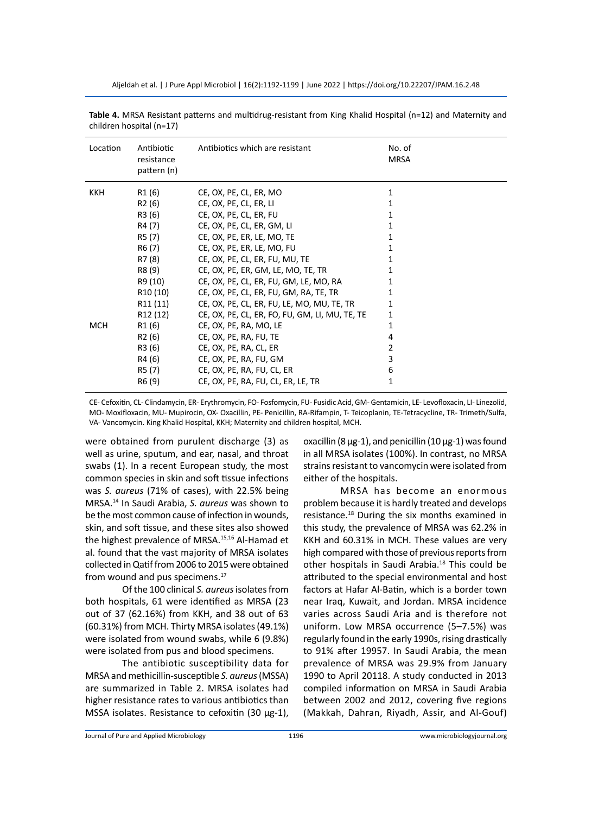Aljeldah et al. | J Pure Appl Microbiol | 16(2):1192-1199 | June 2022 | https://doi.org/10.22207/JPAM.16.2.48

| Location   | Antibiotic<br>resistance<br>pattern (n) | Antibiotics which are resistant                | No. of<br>MRSA |
|------------|-----------------------------------------|------------------------------------------------|----------------|
| <b>KKH</b> | R1 (6)                                  | CE, OX, PE, CL, ER, MO                         | 1              |
|            | R <sub>2</sub> (6)                      | CE, OX, PE, CL, ER, LI                         | 1              |
|            | R3 (6)                                  | CE, OX, PE, CL, ER, FU                         | 1              |
|            | R4 (7)                                  | CE, OX, PE, CL, ER, GM, LI                     | 1              |
|            | R5 (7)                                  | CE, OX, PE, ER, LE, MO, TE                     | 1              |
|            | R6 (7)                                  | CE, OX, PE, ER, LE, MO, FU                     | 1              |
|            | R7 (8)                                  | CE, OX, PE, CL, ER, FU, MU, TE                 | 1              |
|            | R8 (9)                                  | CE, OX, PE, ER, GM, LE, MO, TE, TR             | 1              |
|            | R9 (10)                                 | CE, OX, PE, CL, ER, FU, GM, LE, MO, RA         | 1              |
|            | R <sub>10</sub> (10)                    | CE, OX, PE, CL, ER, FU, GM, RA, TE, TR         | 1              |
|            | R <sub>11</sub> (11)                    | CE, OX, PE, CL, ER, FU, LE, MO, MU, TE, TR     | 1              |
|            | R12 (12)                                | CE, OX, PE, CL, ER, FO, FU, GM, LI, MU, TE, TE | 1              |
| <b>MCH</b> | R1 (6)                                  | CE, OX, PE, RA, MO, LE                         | 1              |
|            | R2 (6)                                  | CE, OX, PE, RA, FU, TE                         | 4              |
|            | R3 (6)                                  | CE, OX, PE, RA, CL, ER                         | 2              |
|            | R4 (6)                                  | CE, OX, PE, RA, FU, GM                         | 3              |
|            | R5 (7)                                  | CE, OX, PE, RA, FU, CL, ER                     | 6              |
|            | R6 (9)                                  | CE, OX, PE, RA, FU, CL, ER, LE, TR             | 1              |

**Table 4.** MRSA Resistant patterns and multidrug-resistant from King Khalid Hospital (n=12) and Maternity and children hospital (n=17)

CE- Cefoxitin, CL- Clindamycin, ER- Erythromycin, FO- Fosfomycin, FU- Fusidic Acid, GM- Gentamicin, LE- Levofloxacin, LI- Linezolid, MO- Moxifloxacin, MU- Mupirocin, OX- Oxacillin, PE- Penicillin, RA-Rifampin, T- Teicoplanin, TE-Tetracycline, TR- Trimeth/Sulfa, VA- Vancomycin. King Khalid Hospital, KKH; Maternity and children hospital, MCH.

were obtained from purulent discharge (3) as well as urine, sputum, and ear, nasal, and throat swabs (1). In a recent European study, the most common species in skin and soft tissue infections was *S. aureus* (71% of cases), with 22.5% being MRSA.14 In Saudi Arabia, *S. aureus* was shown to be the most common cause of infection in wounds, skin, and soft tissue, and these sites also showed the highest prevalence of MRSA.15,16 Al-Hamad et al. found that the vast majority of MRSA isolates collected in Qatif from 2006 to 2015 were obtained from wound and pus specimens.<sup>17</sup>

Of the 100 clinical *S. aureus* isolates from both hospitals, 61 were identified as MRSA (23 out of 37 (62.16%) from KKH, and 38 out of 63 (60.31%) from MCH. Thirty MRSA isolates (49.1%) were isolated from wound swabs, while 6 (9.8%) were isolated from pus and blood specimens.

The antibiotic susceptibility data for MRSA and methicillin-susceptible *S. aureus* (MSSA) are summarized in Table 2. MRSA isolates had higher resistance rates to various antibiotics than MSSA isolates. Resistance to cefoxitin (30 μg-1),

oxacillin (8  $\mu$ g-1), and penicillin (10  $\mu$ g-1) was found in all MRSA isolates (100%). In contrast, no MRSA strains resistant to vancomycin were isolated from either of the hospitals.

MRSA has become an enormous problem because it is hardly treated and develops resistance.<sup>18</sup> During the six months examined in this study, the prevalence of MRSA was 62.2% in KKH and 60.31% in MCH. These values are very high compared with those of previous reports from other hospitals in Saudi Arabia.<sup>18</sup> This could be attributed to the special environmental and host factors at Hafar Al-Batin, which is a border town near Iraq, Kuwait, and Jordan. MRSA incidence varies across Saudi Aria and is therefore not uniform. Low MRSA occurrence (5–7.5%) was regularly found in the early 1990s, rising drastically to 91% after 19957. In Saudi Arabia, the mean prevalence of MRSA was 29.9% from January 1990 to April 20118. A study conducted in 2013 compiled information on MRSA in Saudi Arabia between 2002 and 2012, covering five regions (Makkah, Dahran, Riyadh, Assir, and Al-Gouf)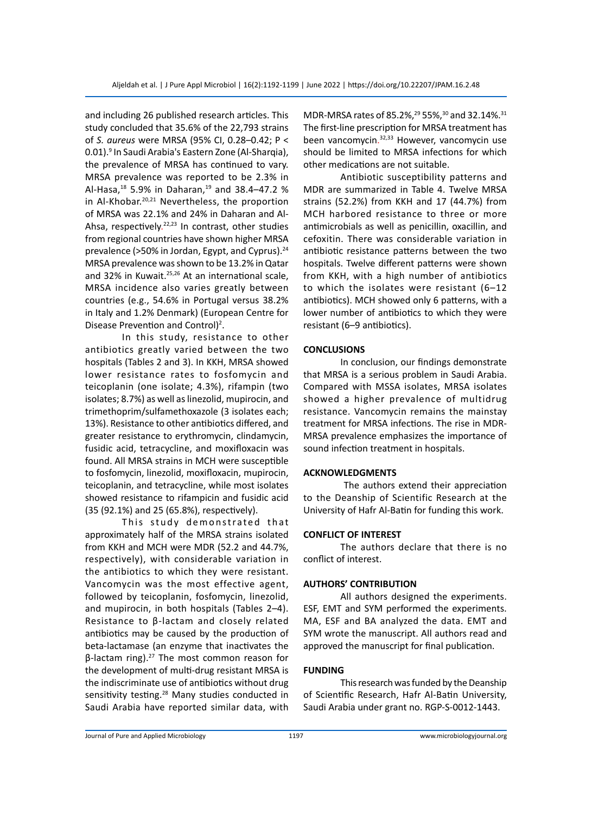and including 26 published research articles. This study concluded that 35.6% of the 22,793 strains of *S. aureus* were MRSA (95% CI, 0.28–0.42; P < 0.01).<sup>9</sup> In Saudi Arabia's Eastern Zone (Al-Sharqia), the prevalence of MRSA has continued to vary. MRSA prevalence was reported to be 2.3% in Al-Hasa, $^{18}$  5.9% in Daharan, $^{19}$  and 38.4-47.2 % in Al-Khobar.20,21 Nevertheless, the proportion of MRSA was 22.1% and 24% in Daharan and Al-Ahsa, respectively.<sup>22,23</sup> In contrast, other studies from regional countries have shown higher MRSA prevalence (>50% in Jordan, Egypt, and Cyprus).<sup>24</sup> MRSA prevalence was shown to be 13.2% in Qatar and 32% in Kuwait.<sup>25,26</sup> At an international scale, MRSA incidence also varies greatly between countries (e.g., 54.6% in Portugal versus 38.2% in Italy and 1.2% Denmark) (European Centre for Disease Prevention and Control)<sup>2</sup>.

In this study, resistance to other antibiotics greatly varied between the two hospitals (Tables 2 and 3). In KKH, MRSA showed lower resistance rates to fosfomycin and teicoplanin (one isolate; 4.3%), rifampin (two isolates; 8.7%) as well as linezolid, mupirocin, and trimethoprim/sulfamethoxazole (3 isolates each; 13%). Resistance to other antibiotics differed, and greater resistance to erythromycin, clindamycin, fusidic acid, tetracycline, and moxifloxacin was found. All MRSA strains in MCH were susceptible to fosfomycin, linezolid, moxifloxacin, mupirocin, teicoplanin, and tetracycline, while most isolates showed resistance to rifampicin and fusidic acid (35 (92.1%) and 25 (65.8%), respectively).

This study demonstrated that approximately half of the MRSA strains isolated from KKH and MCH were MDR (52.2 and 44.7%, respectively), with considerable variation in the antibiotics to which they were resistant. Vancomycin was the most effective agent, followed by teicoplanin, fosfomycin, linezolid, and mupirocin, in both hospitals (Tables 2–4). Resistance to β-lactam and closely related antibiotics may be caused by the production of beta-lactamase (an enzyme that inactivates the  $β$ -lactam ring).<sup>27</sup> The most common reason for the development of multi-drug resistant MRSA is the indiscriminate use of antibiotics without drug sensitivity testing.<sup>28</sup> Many studies conducted in Saudi Arabia have reported similar data, with MDR-MRSA rates of 85.2%,<sup>29</sup> 55%,<sup>30</sup> and 32.14%.<sup>31</sup> The first-line prescription for MRSA treatment has been vancomycin. 32,33 However, vancomycin use should be limited to MRSA infections for which other medications are not suitable.

Antibiotic susceptibility patterns and MDR are summarized in Table 4. Twelve MRSA strains (52.2%) from KKH and 17 (44.7%) from MCH harbored resistance to three or more antimicrobials as well as penicillin, oxacillin, and cefoxitin. There was considerable variation in antibiotic resistance patterns between the two hospitals. Twelve different patterns were shown from KKH, with a high number of antibiotics to which the isolates were resistant (6–12 antibiotics). MCH showed only 6 patterns, with a lower number of antibiotics to which they were resistant (6–9 antibiotics).

#### **CONCLUSIONS**

In conclusion, our findings demonstrate that MRSA is a serious problem in Saudi Arabia. Compared with MSSA isolates, MRSA isolates showed a higher prevalence of multidrug resistance. Vancomycin remains the mainstay treatment for MRSA infections. The rise in MDR-MRSA prevalence emphasizes the importance of sound infection treatment in hospitals.

#### **ACKNOWLEDGMENTS**

 The authors extend their appreciation to the Deanship of Scientific Research at the University of Hafr Al-Batin for funding this work.

#### **CONFLICT OF INTEREST**

The authors declare that there is no conflict of interest.

#### **AUTHORS' CONTRIBUTION**

All authors designed the experiments. ESF, EMT and SYM performed the experiments. MA, ESF and BA analyzed the data. EMT and SYM wrote the manuscript. All authors read and approved the manuscript for final publication.

#### **FUNDING**

This research was funded by the Deanship of Scientific Research, Hafr Al-Batin University, Saudi Arabia under grant no. RGP-S-0012-1443.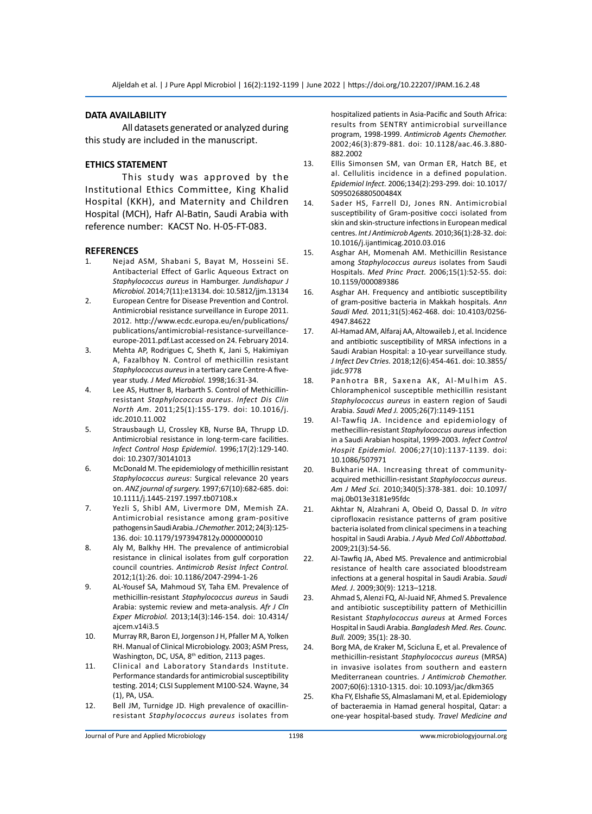#### **DATA AVAILABILITY**

All datasets generated or analyzed during this study are included in the manuscript.

### **ETHICS STATEMENT**

This study was approved by the Institutional Ethics Committee, King Khalid Hospital (KKH), and Maternity and Children Hospital (MCH), Hafr Al-Batin, Saudi Arabia with reference number: KACST No. H-05-FT-083.

#### **REFERENCES**

- 1. Nejad ASM, Shabani S, Bayat M, Hosseini SE. Antibacterial Effect of Garlic Aqueous Extract on *Staphylococcus aureus* in Hamburger. *Jundishapur J Microbiol.* 2014;7(11):e13134. doi: 10.5812/jjm.13134
- 2. European Centre for Disease Prevention and Control. Antimicrobial resistance surveillance in Europe 2011. 2012. http://www.ecdc.europa.eu/en/publications/ publications/antimicrobial-resistance-surveillanceeurope-2011.pdf.Last accessed on 24. February 2014.
- 3. Mehta AP, Rodrigues C, Sheth K, Jani S, Hakimiyan A, Fazalbhoy N. Control of methicillin resistant *Staphylococcus aureus* in a tertiary care Centre-A fiveyear study. *J Med Microbiol.* 1998;16:31-34.
- 4. Lee AS, Huttner B, Harbarth S. Control of Methicillinresistant *Staphylococcus aureus*. *Infect Dis Clin North Am*. 2011;25(1):155-179. doi: 10.1016/j. idc.2010.11.002
- 5. Strausbaugh LJ, Crossley KB, Nurse BA, Thrupp LD. Antimicrobial resistance in long-term-care facilities. *Infect Control Hosp Epidemiol*. 1996;17(2):129-140. doi: 10.2307/30141013
- 6. McDonald M. The epidemiology of methicillin resistant *Staphylococcus aureus*: Surgical relevance 20 years on. *ANZ journal of surgery.* 1997;67(10):682-685. doi: 10.1111/j.1445-2197.1997.tb07108.x
- 7. Yezli S, Shibl AM, Livermore DM, Memish ZA. Antimicrobial resistance among gram-positive pathogens in Saudi Arabia. *J Chemother.* 2012; 24(3):125- 136. doi: 10.1179/1973947812y.0000000010
- 8. Aly M, Balkhy HH. The prevalence of antimicrobial resistance in clinical isolates from gulf corporation council countries. *Antimicrob Resist Infect Control.* 2012;1(1):26. doi: 10.1186/2047-2994-1-26
- 9. AL-Yousef SA, Mahmoud SY, Taha EM. Prevalence of methicillin-resistant *Staphylococcus aureus* in Saudi Arabia: systemic review and meta-analysis. *Afr J Cln Exper Microbiol.* 2013;14(3):146-154. doi: 10.4314/ ajcem.v14i3.5
- 10. Murray RR, Baron EJ, Jorgenson J H, Pfaller M A, Yolken RH. Manual of Clinical Microbiology. 2003; ASM Press, Washington, DC, USA, 8<sup>th</sup> edition, 2113 pages.
- 11. Clinical and Laboratory Standards Institute. Performance standards for antimicrobial susceptibility testing. 2014; CLSI Supplement M100-S24. Wayne, 34 (1), PA, USA.
- 12. Bell JM, Turnidge JD. High prevalence of oxacillinresistant *Staphylococcus aureus* isolates from

hospitalized patients in Asia-Pacific and South Africa: results from SENTRY antimicrobial surveillance program, 1998-1999. *Antimicrob Agents Chemother.*  2002;46(3):879-881. doi: 10.1128/aac.46.3.880- 882.2002

- 13. Ellis Simonsen SM, van Orman ER, Hatch BE, et al. Cellulitis incidence in a defined population. *Epidemiol Infect.* 2006;134(2):293-299. doi: 10.1017/ S095026880500484X
- 14. Sader HS, Farrell DJ, Jones RN. Antimicrobial susceptibility of Gram-positive cocci isolated from skin and skin-structure infections in European medical centres. *Int J Antimicrob Agents.* 2010;36(1):28-32. doi: 10.1016/j.ijantimicag.2010.03.016
- 15. Asghar AH, Momenah AM. Methicillin Resistance among *Staphylococcus aureus* isolates from Saudi Hospitals. *Med Princ Pract.* 2006;15(1):52-55. doi: 10.1159/000089386
- 16. Asghar AH. Frequency and antibiotic susceptibility of gram-positive bacteria in Makkah hospitals. *Ann Saudi Med.* 2011;31(5):462-468. doi: 10.4103/0256- 4947.84622
- 17. Al-Hamad AM, Alfaraj AA, Altowaileb J, et al. Incidence and antibiotic susceptibility of MRSA infections in a Saudi Arabian Hospital: a 10-year surveillance study. *J Infect Dev Ctries.* 2018;12(6):454-461. doi: 10.3855/ jidc.9778
- 18. Panhotra BR, Saxena AK, Al-Mulhim AS. Chloramphenicol susceptible methicillin resistant *Staphylococcus aureus* in eastern region of Saudi Arabia. *Saudi Med J.* 2005;26(7):1149-1151
- 19. Al-Tawfiq JA. Incidence and epidemiology of methecillin-resistant *Staphylococcus aureus* infection in a Saudi Arabian hospital, 1999-2003. *Infect Control Hospit Epidemiol.* 2006;27(10):1137-1139. doi: 10.1086/507971
- 20. Bukharie HA. Increasing threat of communityacquired methicillin-resistant *Staphylococcus aureus*. *Am J Med Sci.* 2010;340(5):378-381. doi: 10.1097/ maj.0b013e3181e95fdc
- 21. Akhtar N, Alzahrani A, Obeid O, Dassal D. *In vitro*  ciprofloxacin resistance patterns of gram positive bacteria isolated from clinical specimens in a teaching hospital in Saudi Arabia. *J Ayub Med Coll Abbottabad.*  2009;21(3):54-56.
- 22. Al-Tawfiq JA, Abed MS. Prevalence and antimicrobial resistance of health care associated bloodstream infections at a general hospital in Saudi Arabia. *Saudi Med. J*. 2009;30(9): 1213–1218.
- 23. Ahmad S, Alenzi FQ, Al-Juaid NF, Ahmed S. Prevalence and antibiotic susceptibility pattern of Methicillin Resistant *Staphylococcus aureus* at Armed Forces Hospital in Saudi Arabia. *Bangladesh Med. Res. Counc. Bull.* 2009; 35(1): 28-30.
- 24. Borg MA, de Kraker M, Scicluna E, et al. Prevalence of methicillin-resistant *Staphylococcus aureus* (MRSA) in invasive isolates from southern and eastern Mediterranean countries. *J Antimicrob Chemother.* 2007;60(6):1310-1315. doi: 10.1093/jac/dkm365
- 25. Kha FY, Elshafie SS, Almaslamani M, et al. Epidemiology of bacteraemia in Hamad general hospital, Qatar: a one-year hospital-based study. *Travel Medicine and*